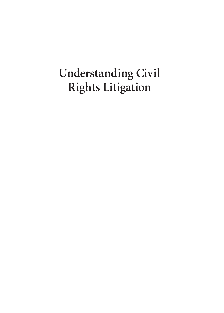# **Understanding Civil Rights Litigation**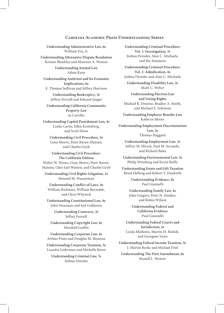#### **Carolina Academic Press Understanding Series**

**Understanding Administrative Law, 6e** William Fox, Jr.

**Understanding Alternative Dispute Resolution** Kristen Blankley and Maureen A. Weston

> **Understanding Animal Law** Adam Karp

**Understanding Antitrust and Its Economic Implications, 6e** E. Thomas Sullivan and Jeffrey Harrison

> **Understanding Bankruptcy, 3e** Jeffrey Ferriell and Edward Janger

**Understanding California Community Property Law**  Jo Carrillo

**Understanding Capital Punishment Law, 4e**  Linda Carter, Ellen Kreitzberg, and Scott Howe

**Understanding Civil Procedure, 5e**  Gene Shreve, Peter Raven-Hansen, and Charles Geyh

**Understanding Civil Procedure: The California Edition**  Walter W. Heiser, Gene Shreve, Peter Raven-Hansen, Glen Earl Weston, and Charles Geyh

**Understanding Civil Rights Litigation, 2e**  Howard M. Wasserman

**Understanding Conflict of Laws, 4e** William Richman, William Reynolds, and Chris Whytock

**Understanding Constitutional Law, 4e** John Attanasio and Joel Goldstein

> **Understanding Contracts, 3e**  Jeffrey Ferriell

**Understanding Copyright Law, 6e**  Marshall Leaffer

**Understanding Corporate Law, 4e**  Arthur Pinto and Douglas M. Branson

**Understanding Corporate Taxation, 3e**  Leandra Lederman and Michelle Kwon

**Understanding Criminal Law, 7e**  Joshua Dressler

**Understanding Criminal Procedure: Vol. 1: Investigation, 7e**  Joshua Dressler, Alan C. Michaels, and Ric Simmons

**Understanding Criminal Procedure: Vol. 2: Adjudication, 4e**  Joshua Dressler and Alan C. Michaels

**Understanding Disability Law, 2e** Mark C. Weber

**Understanding Election Law and Voting Rights** Michael R. Dimino, Bradley A. Smith, and Michael E. Solimine

**Understanding Employee Benefits Law**  Kathryn Moore

**Understanding Employment Discrimination Law, 2e**  Thomas Haggard

**Understanding Employment Law, 2e**  Jeffrey M. Hirsch, Paul M. Secunda,

and Richard Bales

**Understanding Environmental Law, 3e**  Philip Weinberg and Kevin Reilly

**Understanding Estate and Gift Taxation**  Brant Hellwig and Robert T. Danforth

> **Understanding Evidence, 4e**  Paul Giannelli

**Understanding Family Law, 4e**  John Gregory, Peter N. Swisher, and Robin Wilson

**Understanding Federal and California Evidence**  Paul Giannelli

**Understanding Federal Courts and Jurisdiction, 2e**  Linda Mullenix, Martin H. Redish, and Georgene Vairo

**Understanding Federal Income Taxation, 5e**  J. Martin Burke and Michael Friel

**Understanding The First Amendment, 6e**  Russell L. Weaver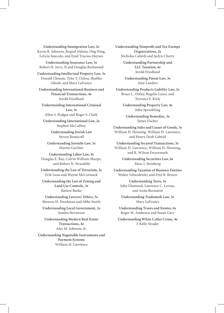**Understanding Immigration Law, 2e**  Kevin R. Johnson, Raquel Aldana, Ong Hing, Leticia Saucedo, and Enid Trucios-Haynes

**Understanding Insurance Law, 5e**  Robert H. Jerry, II and Douglas Richmond

**Understanding Intellectual Property Law, 3e**  Donald Chisum, Tyler T. Ochoa, Shubha Ghosh, and Mary LaFrance

**Understanding International Business and Financial Transactions, 4e**  Jerold Friedland

**Understanding International Criminal Law, 3e**  Ellen S. Podgor and Roger S. Clark

**Understanding International Law, 2e**  Stephen McCaffrey

> **Understanding Jewish Law**  Steven Resnicoff

**Understanding Juvenile Law, 5e**  Martin Gardner

**Understanding Labor Law, 4e**  Douglas E. Ray, Calvin William Sharpe, and Robert N. Strassfeld

**Understanding the Law of Terrorism, 2e**  Erik Luna and Wayne McCormack

**Understanding the Law of Zoning and Land Use Controls, 3e**  Barlow Burke

**Understanding Lawyers' Ethics, 5e**  Monroe H. Freedman and Abbe Smith

**Understanding Local Government, 2e**  Sandra Stevenson

**Understanding Modern Real Estate Transactions, 4e**  Alex M. Johnson, Jr.

**Understanding Negotiable Instruments and Payment Systems**  William H. Lawrence

**Understanding Nonprofit and Tax Exempt Organizations, 2e**  Nicholas Cafardi and Jaclyn Cherry

> **Understanding Partnership and LLC Taxation, 4e**  Jerold Friedland

**Understanding Patent Law, 3e**  Amy Landers

**Understanding Products Liability Law, 2e**  Bruce L. Ottley, Rogelio Lasso, and Terrence F. Kiely

> **Understanding Property Law, 4e**  John Sprankling

**Understanding Remedies, 3e**  James Fischer

**Understanding Sales and Leases of Goods, 3e**  William H. Henning, William H. Lawrence, and Henry Deeb Gabriel

**Understanding Secured Transactions, 5e**  William H. Lawrence, William H. Henning, and R. Wilson Freyermuth

> **Understanding Securities Law, 6e**  Marc I. Steinberg

**Understanding Taxation of Business Entities**  Walter Schwidetzky and Fred B. Brown

**Understanding Torts, 5e**  John Diamond, Lawrence C. Levine, and Anita Bernstein

**Understanding Trademark Law, 3e**  Mary LaFrance

**Understanding Trusts and Estates, 6e**  Roger W. Andersen and Susan Gary

**Understanding White Collar Crime, 4e**  J. Kelly Strader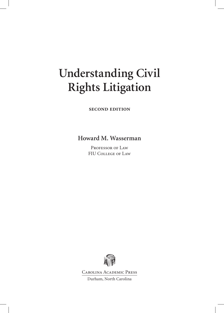# **Understanding Civil Rights Litigation**

**second edition**

**Howard M. Wasserman**

PROFESSOR OF LAW FIU College of Law



Carolina Academic Press Durham, North Carolina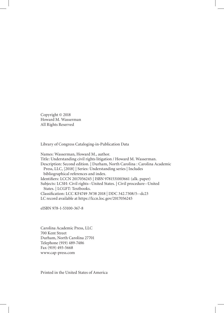Copyright © 2018 Howard M. Wasserman All Rights Reserved

Library of Congress Cataloging-in-Publication Data

Names: Wasserman, Howard M., author. Title: Understanding civil rights litigation / Howard M. Wasserman. Description: Second edition. | Durham, North Carolina : Carolina Academic Press, LLC, [2018] | Series: Understanding series | Includes bibliographical references and index. Identifiers: LCCN 2017056245 | ISBN 9781531003661 (alk. paper) Subjects: LCSH: Civil rights--United States. | Civil procedure--United States. | LCGFT: Textbooks. Classification: LCC KF4749 .W38 2018 | DDC 342.7308/5--dc23 LC record available at https://lccn.loc.gov/2017056245

eISBN 978-1-53100-367-8

Carolina Academic Press, LLC 700 Kent Street Durham, North Carolina 27701 Telephone (919) 489-7486 Fax (919) 493-5668 www.cap-press.com

Printed in the United States of America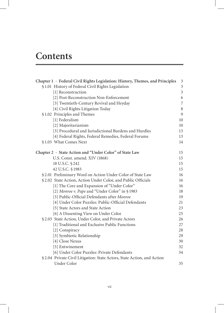### **Contents**

| Chapter 1 · Federal Civil Rights Legislation: History, Themes, and Principles | $\mathfrak{Z}$   |
|-------------------------------------------------------------------------------|------------------|
| §1.01 History of Federal Civil Rights Legislation                             | $\overline{3}$   |
| [1] Reconstruction                                                            | $\overline{3}$   |
| [2] Post-Reconstruction Non-Enforcement                                       | 6                |
| [3] Twentieth-Century Revival and Heyday                                      | $\boldsymbol{7}$ |
| [4] Civil Rights Litigation Today                                             | $\,8\,$          |
| §1.02 Principles and Themes                                                   | 9                |
| [1] Federalism                                                                | 10               |
| [2] Majoritarianism                                                           | 10               |
| [3] Procedural and Jurisdictional Burdens and Hurdles                         | 13               |
| [4] Federal Rights, Federal Remedies, Federal Forums                          | 13               |
| §1.03 What Comes Next                                                         | 14               |
| Chapter 2 · State Action and "Under Color" of State Law                       | 15               |
| U.S. Const. amend. XIV (1868)                                                 | 15               |
| 18 U.S.C. § 242                                                               | 15               |
| 42 U.S.C. § 1983                                                              | 15               |
| §2.01 Preliminary Word on Action Under Color of State Law                     | 16               |
| §2.02 State Action, Action Under Color, and Public Officials                  | 16               |
| [1] The Core and Expansion of "Under Color"                                   | 16               |
| [2] Monroe v. Pape and "Under Color" in §1983                                 | 18               |
| [3] Public-Official Defendants after Monroe                                   | 19               |
| [4] Under Color Puzzles: Public-Official Defendants                           | 21               |
| [5] State Actors and State Action                                             | 23               |
| [6] A Dissenting View on Under Color                                          | 25               |
| §2.03 State Action, Under Color, and Private Actors                           | 26               |
| [1] Traditional and Exclusive Public Functions                                | 27               |
| [2] Conspiracy                                                                | 28               |
| [3] Symbiotic Relationship                                                    | 29               |
| [4] Close Nexus                                                               | 30               |
| [5] Entwinement                                                               | 32               |
| [6] Under Color Puzzles: Private Defendants                                   | 34               |
| § 2.04 Private Civil Litigation: State Actors, State Action, and Action       |                  |
| <b>Under Color</b>                                                            | 35               |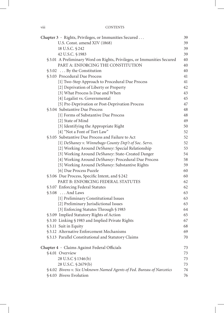| Chapter 3 · Rights, Privileges, or Immunities Secured                 | 39 |
|-----------------------------------------------------------------------|----|
| U.S. Const. amend XIV (1868)                                          | 39 |
| 18 U.S.C. § 242                                                       | 39 |
| 42 U.S.C. § 1983                                                      | 39 |
| §3.01 A Preliminary Word on Rights, Privileges, or Immunities Secured | 40 |
| PART A: ENFORCING THE CONSTITUTION                                    | 40 |
| $$3.02$ By the Constitution                                           | 40 |
| §3.03 Procedural Due Process                                          | 41 |
| [1] Two-Step Approach to Procedural Due Process                       | 41 |
| [2] Deprivation of Liberty or Property                                | 42 |
| [3] What Process Is Due and When                                      | 43 |
| [4] Legalist vs. Governmental                                         | 45 |
| [5] Pre-Deprivation or Post-Deprivation Process                       | 47 |
| §3.04 Substantive Due Process                                         | 48 |
| [1] Forms of Substantive Due Process                                  | 48 |
| [2] State of Mind                                                     | 49 |
| [3] Identifying the Appropriate Right                                 | 50 |
| [4] "Not a Font of Tort Law"                                          | 52 |
| §3.05 Substantive Due Process and Failure to Act                      | 52 |
| [1] DeShaney v. Winnebago County Dep't of Soc. Servs.                 | 52 |
| [2] Working Around DeShaney: Special Relationship                     | 53 |
| [3] Working Around DeShaney: State-Created Danger                     | 54 |
| [4] Working Around DeShaney: Procedural Due Process                   | 58 |
| [5] Working Around DeShaney: Substantive Rights                       | 59 |
| [6] Due Process Puzzle                                                | 60 |
| §3.06 Due Process, Specific Intent, and §242                          | 60 |
| PART B: ENFORCING FEDERAL STATUTES                                    | 62 |
| §3.07 Enforcing Federal Statutes                                      | 62 |
| §3.08 And Laws                                                        | 63 |
| [1] Preliminary Constitutional Issues                                 | 63 |
| [2] Preliminary Jurisdictional Issues                                 | 63 |
| [3] Enforcing Statutes Through § 1983                                 | 64 |
| §3.09 Implied Statutory Rights of Action                              | 65 |
| §3.10 Linking §1983 and Implied Private Rights                        | 67 |
| §3.11 Suit in Equity                                                  | 68 |
| §3.12 Alternative Enforcement Mechanisms                              | 69 |
| §3.13 Parallel Constitutional and Statutory Claims                    | 70 |
| Chapter 4 · Claims Against Federal Officials                          | 73 |
| §4.01 Overview                                                        | 73 |
| 28 U.S.C § 1346(b)                                                    | 73 |
| 28 U.S.C. § 2679(b)                                                   | 73 |
| §4.02 Bivens v. Six Unknown Named Agents of Fed. Bureau of Narcotics  | 74 |
| §4.03 Bivens Evolution                                                | 76 |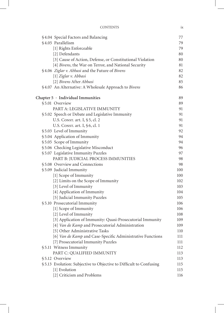| <b>CONTENTS</b> |  |  |
|-----------------|--|--|
|                 |  |  |

| §4.04 Special Factors and Balancing                                | 77  |
|--------------------------------------------------------------------|-----|
| §4.05 Parallelism                                                  | 79  |
| [1] Rights Enforceable                                             | 79  |
| [2] Defendants                                                     | 80  |
| [3] Cause of Action, Defense, or Constitutional Violation          | 80  |
| [4] Bivens, the War on Terror, and National Security               | 81  |
| §4.06 Ziglar v. Abbasi and the Future of Bivens                    | 82  |
| [1] Ziglar v. Abbasi                                               | 82  |
| [2] Bivens After Abbasi                                            | 85  |
| §4.07 An Alternative: A Wholesale Approach to Bivens               | 86  |
| Chapter $5 \cdot$ Individual Immunities                            | 89  |
| §5.01 Overview                                                     | 89  |
| PART A: LEGISLATIVE IMMUNITY                                       | 91  |
| §5.02 Speech or Debate and Legislative Immunity                    | 91  |
| U.S. CONST. art. I, §5, cl. 2                                      | 91  |
| U.S. CONST. art. I, §6, cl. 1                                      | 91  |
| §5.03 Level of Immunity                                            | 92  |
| §5.04 Application of Immunity                                      | 94  |
| §5.05 Scope of Immunity                                            | 94  |
| §5.06 Checking Legislative Misconduct                              | 96  |
| § 5.07 Legislative Immunity Puzzles                                | 97  |
| PART B: JUDICIAL PROCESS IMMUNITIES                                | 98  |
| §5.08 Overview and Connections                                     | 98  |
| §5.09 Judicial Immunity                                            | 100 |
| [1] Scope of Immunity                                              | 100 |
| [2] Limits on the Scope of Immunity                                | 102 |
| [3] Level of Immunity                                              | 103 |
| [4] Application of Immunity                                        | 104 |
| [5] Judicial Immunity Puzzles                                      | 105 |
| §5.10 Prosecutorial Immunity                                       | 106 |
| [1] Scope of Immunity                                              | 106 |
| [2] Level of Immunity                                              | 108 |
| [3] Application of Immunity: Quasi-Prosecutorial Immunity          | 109 |
| [4] Van de Kamp and Prosecutorial Administration                   | 109 |
| [5] Other Administrative Tasks                                     | 110 |
| [6] Van de Kamp and Case-Specific Administrative Functions         | 111 |
| [7] Prosecutorial Immunity Puzzles                                 | 111 |
| §5.11 Witness Immunity                                             | 112 |
| PART C: QUALIFIED IMMUNITY                                         | 113 |
| §5.12 Overview                                                     | 113 |
| §5.13 Evolution: Subjective to Objective to Difficult to Confusing | 115 |
| [1] Evolution                                                      | 115 |
| [2] Criticism and Problems                                         | 116 |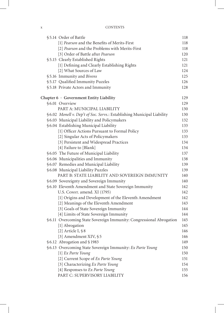|  | §5.14 Order of Battle                                                   | 118 |
|--|-------------------------------------------------------------------------|-----|
|  | [1] Pearson and the Benefits of Merits-First                            | 118 |
|  | [2] Pearson and the Problems with Merits-First                          | 118 |
|  | [3] Order of Battle after Pearson                                       | 120 |
|  | §5.15 Clearly Established Rights                                        | 121 |
|  | [1] Defining and Clearly Establishing Rights                            | 121 |
|  | [2] What Sources of Law                                                 | 124 |
|  | §5.16 Immunity and Bivens                                               | 125 |
|  | §5.17 Qualified Immunity Puzzles                                        | 126 |
|  | §5.18 Private Actors and Immunity                                       | 128 |
|  | Chapter $6 \cdot$ Government Entity Liability                           | 129 |
|  | §6.01 Overview                                                          | 129 |
|  | PART A: MUNICIPAL LIABILITY                                             | 130 |
|  | § 6.02 Monell v. Dep't of Soc. Servs.: Establishing Municipal Liability | 130 |
|  | §6.03 Municipal Liability and Policymakers                              | 132 |
|  | § 6.04 Establishing Municipal Liability                                 | 133 |
|  | [1] Officer Actions Pursuant to Formal Policy                           | 133 |
|  | [2] Singular Acts of Policymakers                                       | 133 |
|  | [3] Persistent and Widespread Practices                                 | 134 |
|  | [4] Failure to [Blank]                                                  | 134 |
|  | § 6.05 The Future of Municipal Liability                                | 137 |
|  | §6.06 Municipalities and Immunity                                       | 138 |
|  | §6.07 Remedies and Municipal Liability                                  | 139 |
|  | § 6.08 Municipal Liability Puzzles                                      | 139 |
|  | PART B: STATE LIABILITY AND SOVEREIGN IMMUNITY                          | 140 |
|  | §6.09 Sovereignty and Sovereign Immunity                                | 140 |
|  | §6.10 Eleventh Amendment and State Sovereign Immunity                   | 142 |
|  | U.S. Const. amend. XI (1795)                                            | 142 |
|  | [1] Origins and Development of the Eleventh Amendment                   | 142 |
|  | [2] Meanings of the Eleventh Amendment                                  | 143 |
|  | [3] Goals of State Sovereign Immunity                                   | 144 |
|  | [4] Limits of State Sovereign Immunity                                  | 144 |
|  | § 6.11 Overcoming State Sovereign Immunity: Congressional Abrogation    | 145 |
|  | [1] Abrogation                                                          | 145 |
|  | [2] Article I, $§ 8$                                                    | 146 |
|  | [3] Amendment XIV, §5                                                   | 146 |
|  | §6.12 Abrogation and §1983                                              | 149 |
|  | § 6.13 Overcoming State Sovereign Immunity: Ex Parte Young              | 150 |
|  | [1] Ex Parte Young                                                      | 150 |
|  | [2] Current Scope of Ex Parte Young                                     | 151 |
|  | [3] Characterizing Ex Parte Young                                       | 154 |
|  | [4] Responses to Ex Parte Young                                         | 155 |
|  | PART C: SUPERVISORY LIABILITY                                           | 156 |
|  |                                                                         |     |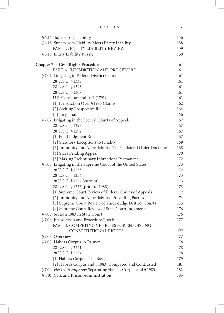| <b>CONTENTS</b> |  |
|-----------------|--|
|                 |  |

|  | § 6.14 Supervisory Liability                                  | 156 |
|--|---------------------------------------------------------------|-----|
|  | § 6.15 Supervisory Liability Meets Entity Liability           | 158 |
|  | PART D: ENTITY LIABILITY REVIEW                               | 159 |
|  | § 6.16 Entity Liability Puzzle                                | 159 |
|  |                                                               |     |
|  | Chapter 7 · Civil Rights Procedure                            | 161 |
|  | PART A: JURISDICTION AND PROCEDURE                            | 161 |
|  | §7.01 Litigating in Federal District Court                    | 161 |
|  | 28 U.S.C. § 1331                                              | 161 |
|  | 28 U.S.C. § 1343                                              | 161 |
|  | 28 U.S.C. § 1367                                              | 161 |
|  | U.S. Const. amend. VII (1791)                                 | 161 |
|  | [1] Jurisdiction Over § 1983 Claims                           | 162 |
|  | [2] Seeking Prospective Relief                                | 164 |
|  | [3] Jury Trial                                                | 166 |
|  | §7.02 Litigating in the Federal Courts of Appeals             | 167 |
|  | 28 U.S.C. § 1291                                              | 167 |
|  | 28 U.S.C. § 1292                                              | 167 |
|  | [1] Final Judgment Rule                                       | 167 |
|  | [2] Statutory Exceptions to Finality                          | 168 |
|  | [3] Immunity and Appealability: The Collateral Order Doctrine | 168 |
|  | [4] Stays Pending Appeal                                      | 170 |
|  | [5] Making Preliminary Injunctions Permanent                  | 172 |
|  | §7.03 Litigating in the Supreme Court of the United States    | 173 |
|  | 28 U.S.C. § 1253                                              | 172 |
|  | 28 U.S.C. § 1254                                              | 173 |
|  | 28 U.S.C. § 1257 (current)                                    | 173 |
|  | 28 U.S.C. § 1257 (prior to 1988)                              | 173 |
|  | [1] Supreme Court Review of Federal Courts of Appeals         | 172 |
|  | [2] Immunity and Appealability: Prevailing Parties            | 174 |
|  | [3] Supreme Court Review of Three-Judge District Courts       | 175 |
|  | [4] Supreme Court Review of State Court Judgments             | 176 |
|  | §7.05 Section 1983 in State Court                             | 176 |
|  | §7.06 Jurisdiction and Procedure Puzzle                       | 177 |
|  | PART B: COMPETING VEHICLES FOR ENFORCING                      |     |
|  | CONSTITUTIONAL RIGHTS                                         | 177 |
|  | §7.07 Overview                                                | 177 |
|  | §7.08 Habeas Corpus: A Primer                                 | 178 |
|  | 28 U.S.C. § 2241                                              | 178 |
|  | 28 U.S.C. § 2254                                              | 178 |
|  | [1] Habeas Corpus: The Basics                                 | 179 |
|  | [2] Habeas Corpus and § 1983: Compared and Contrasted         | 181 |
|  | §7.09 Heck v. Humphrey: Separating Habeas Corpus and §1983    | 182 |
|  | §7.10 Heck and Prison Administration                          | 185 |
|  |                                                               |     |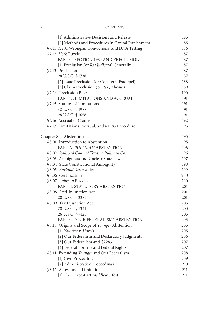| X11 | <b>CONTENTS</b> |
|-----|-----------------|
|     |                 |

| [1] Administrative Decisions and Release          | 185 |
|---------------------------------------------------|-----|
| [2] Methods and Procedures in Capital Punishment  | 185 |
| §7.11 Heck, Wrongful Convictions, and DNA Testing | 186 |
| §7.12 Heck Puzzle                                 | 187 |
| PART C: SECTION 1983 AND PRECLUSION               | 187 |
| [1] Preclusion (or Res Judicata) Generally        | 187 |
| §7.13 Preclusion                                  | 187 |
| 28 U.S.C. § 1738                                  | 187 |
| [2] Issue Preclusion (or Collateral Estoppel)     | 188 |
| [3] Claim Preclusion (or Res Judicata)            | 189 |
| §7.14 Preclusion Puzzle                           | 190 |
| PART D: LIMITATIONS AND ACCRUAL                   | 191 |
| §7.15 Statutes of Limitations                     | 191 |
| 42 U.S.C. § 1988                                  | 191 |
| 28 U.S.C. § 1658                                  | 191 |
| §7.16 Accrual of Claims                           | 192 |
| §7.17 Limitations, Accrual, and §1983 Procedure   | 193 |
| Chapter $8 \cdot$ Abstention                      | 195 |
| §8.01 Introduction to Abstention                  | 195 |
| PART A: PULLMAN ABSTENTION                        | 196 |
| §8.02 Railroad Com. of Texas v. Pullman Co.       | 196 |
| §8.03 Ambiguous and Unclear State Law             | 197 |
| §8.04 State Constitutional Ambiguity              | 198 |
| §8.05 England Reservation                         | 199 |
| §8.06 Certification                               | 200 |
| §8.07 Pullman Puzzles                             | 200 |
| PART B: STATUTORY ABSTENTION                      | 201 |
| §8.08 Anti-Injunction Act                         | 201 |
| 28 U.S.C. § 2283                                  | 201 |
| §8.09 Tax Injunction Act                          | 203 |
| 28 U.S.C. § 1341                                  | 203 |
| 26 U.S.C. § 7421                                  | 203 |
| PART C: "OUR FEDERALISM" ABSTENTION               | 205 |
| §8.10 Origins and Scope of Younger Abstention     | 205 |
| [1] Younger v. Harris                             | 205 |
| [2] Our Federalism and Declaratory Judgments      | 206 |
| [3] Our Federalism and §2283                      | 207 |
| [4] Federal Forums and Federal Rights             | 207 |
| §8.11 Extending Younger and Our Federalism        | 208 |
| [1] Civil Proceedings                             | 209 |
| [2] Administrative Proceedings                    | 210 |
| §8.12 A Test and a Limitation                     | 211 |
| [1] The Three-Part Middlesex Test                 | 211 |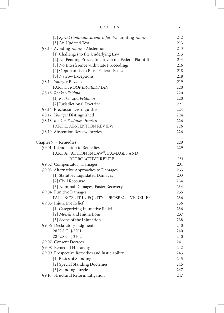| <b>CONTENTS</b> | <br>X111 |
|-----------------|----------|
|                 |          |

| [2] Sprint Communications v. Jacobs: Limiting Younger | 212 |
|-------------------------------------------------------|-----|
| [3] An Updated Test                                   | 213 |
| §8.13 Avoiding Younger Abstention                     | 213 |
| [1] Challenges to the Underlying Law                  | 213 |
| [2] No Pending Proceeding Involving Federal Plaintiff | 214 |
| [3] No Interference with State Proceedings            | 216 |
| [4] Opportunity to Raise Federal Issues               | 218 |
| [5] Narrow Exceptions                                 | 218 |
| §8.14 Younger Puzzles                                 | 219 |
| PART D: ROOKER-FELDMAN                                | 220 |
| §8.15 Rooker-Feldman                                  | 220 |
| [1] Rooker and Feldman                                | 220 |
| [2] Jurisdictional Doctrine                           | 221 |
| §8.16 Preclusion Distinguished                        | 224 |
| §8.17 Younger Distinguished                           | 224 |
| §8.18 Rooker-Feldman Puzzles                          | 226 |
| PART E: ABSTENTION REVIEW                             | 226 |
| §8.19 Abstention Review Puzzles                       | 226 |
| Chapter 9 · Remedies                                  | 229 |
| §9.01 Introduction to Remedies                        | 229 |
| PART A: "ACTION IN LAW": DAMAGES AND                  |     |
| RETROACTIVE RELIEF                                    | 231 |
| §9.02 Compensatory Damages                            | 231 |
| §9.03 Alternative Approaches to Damages               | 233 |
| [1] Statutory Liquidated Damages                      | 233 |
| [2] Civil Recourse                                    | 234 |
| [3] Nominal Damages, Easier Recovery                  | 234 |
| §9.04 Punitive Damages                                | 235 |
| PART B: "SUIT IN EQUITY:" PROSPECTIVE RELIEF          | 236 |
| §9.05 Injunctive Relief                               | 236 |
| [1] Categorizing Injunctive Relief                    | 236 |
| [2] Monell and Injunctions                            | 237 |
| [3] Scope of the Injunction                           | 238 |
| §9.06 Declaratory Judgments                           | 240 |
| 28 U.S.C. § 2201                                      | 240 |
| 28 U.S.C. § 2202                                      | 240 |
| §9.07 Consent Decrees                                 | 241 |
| §9.08 Remedial Hierarchy                              | 242 |
| §9.09 Prospective Remedies and Justiciability         | 243 |
| [1] Basics of Standing                                | 243 |
| [2] Special Standing Doctrines                        | 245 |
| [3] Standing Puzzle                                   | 247 |
| §9.10 Structural Reform Litigation                    | 247 |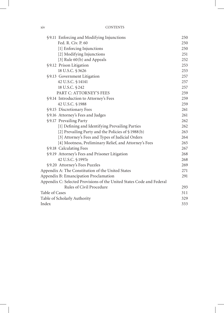| §9.11 Enforcing and Modifying Injunctions                             | 250 |
|-----------------------------------------------------------------------|-----|
| Fed. R. Civ. P. 60                                                    | 250 |
| [1] Enforcing Injunctions                                             | 250 |
| [2] Modifying Injunctions                                             | 251 |
| [3] Rule 60(b) and Appeals                                            | 252 |
| §9.12 Prison Litigation                                               | 253 |
| 18 U.S.C. § 3626                                                      | 253 |
| §9.13 Government Litigation                                           | 257 |
| 42 U.S.C. § 14141                                                     | 257 |
| 18 U.S.C. § 242                                                       | 257 |
| PART C: ATTORNEY'S FEES                                               | 259 |
| §9.14 Introduction to Attorney's Fees                                 | 259 |
| 42 U.S.C. § 1988                                                      | 259 |
| §9.15 Discretionary Fees                                              | 261 |
| §9.16 Attorney's Fees and Judges                                      | 261 |
| §9.17 Prevailing Party                                                | 262 |
| [1] Defining and Identifying Prevailing Parties                       | 262 |
| [2] Prevailing Party and the Policies of §1988(b)                     | 263 |
| [3] Attorney's Fees and Types of Judicial Orders                      | 264 |
| [4] Mootness, Preliminary Relief, and Attorney's Fees                 | 265 |
| §9.18 Calculating Fees                                                | 267 |
| §9.19 Attorney's Fees and Prisoner Litigation                         | 268 |
| 42 U.S.C. § 1997e                                                     | 268 |
| §9.20 Attorney's Fees Puzzles                                         | 269 |
| Appendix A: The Constitution of the United States                     | 271 |
| Appendix B: Emancipation Proclamation                                 | 291 |
| Appendix C: Selected Provisions of the United States Code and Federal |     |
| Rules of Civil Procedure                                              | 293 |
| Table of Cases                                                        | 311 |
| Table of Scholarly Authority                                          | 329 |
| Index                                                                 | 333 |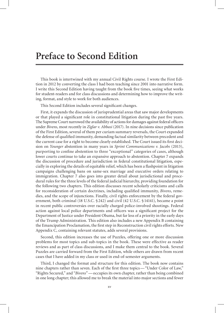#### **Preface to Second Edition**

This book is intertwined with my annual Civil Rights course. I wrote the First Edition in 2012 by converting the class I had been teaching since 2001 into narrative form. I write this Second Edition having taught from the book five times, seeing what works for student-readers and for class discussions and determining how to improve the writing, format, and style to work for both audiences.

This Second Edition includes several significant changes.

First, it expands the discussion of jurisprudential areas that saw major developments or that played a significant role in constitutional litigation during the past five years. The Supreme Court narrowed the availability of actions for damages against federal officers under *Bivens*, most recently in *Ziglar v. Abbasi* (2017). In nine decisions since publication of the First Edition, several of them per curiam summary reversals, the Court expanded the defense of qualified immunity, demanding factual similarity between precedent and the current case for a right to become clearly established. The Court issued its first decision on *Younger* abstention in many years in *Sprint Communications v. Jacobs* (2013), purporting to confine abstention to three "exceptional" categories of cases, although lower courts continue to take an expansive approach to abstention. Chapter 7 expands the discussion of procedure and jurisdiction in federal constitutional litigation, especially in exploring the details of equitable relief, which has been a flashpoint in litigation campaigns challenging bans on same-sex marriage and executive orders relating to immigration. Chapter 7 also goes into greater detail about jurisdictional and procedural rules for the three levels of the federal judicial hierarchy, providing foundation for the following two chapters. This edition discusses recent scholarly criticisms and calls for reconsideration of certain doctrines, including qualified immunity, *Bivens*, remedies, and the scope of injunctions. Finally, civil rights enforcement by the federal government, both criminal (18 U.S.C. § 242) and civil (42 U.S.C. § 14141), became a point in recent public controversies over racially charged police-involved shootings. Federal action against local police departments and officers was a significant project for the Department of Justice under President Obama, but far less of a priority in the early days of the Trump Administration. This edition also includes a new Appendix B containing the Emancipation Proclamation, the first step in Reconstruction civil rights efforts. New Appendix C, containing relevant statutes, adds several provisions.

Second, this edition increases the use of Puzzles, offering one or more discussion problems for most topics and sub-topics in the book. These were effective as reader reviews and as part of class discussions, and I make them central to the book. Several Puzzles are carried forward from the First Edition, while others are drawn from recent cases that I have added in my class or used in end-of-semester arguments.

Third, I changed the format and structure for this edition. The book now contains nine chapters rather than seven. Each of the first three topics— "Under Color of Law," "Rights Secured," and "*Bivens*"— occupies its own chapter, rather than being combined in one long chapter; this allowed me to break the material into major sections and fewer